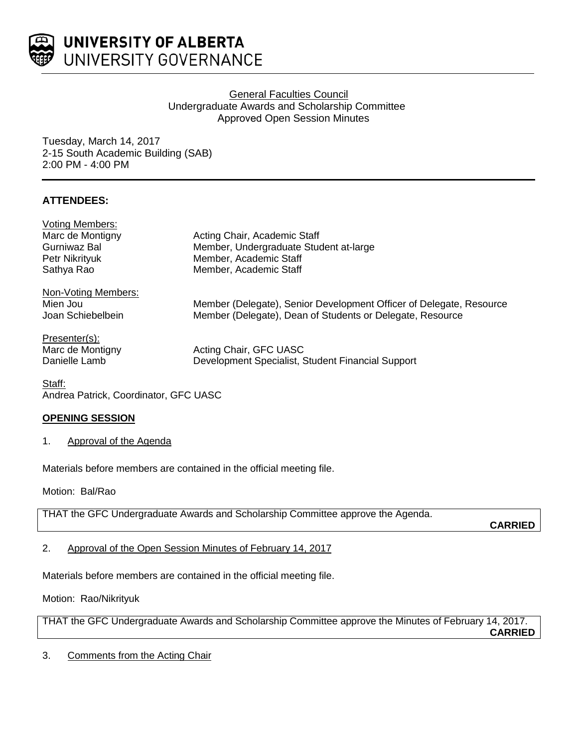

UNIVERSITY OF ALBERTA UNIVERSITY GOVERNANCE

# General Faculties Council Undergraduate Awards and Scholarship Committee Approved Open Session Minutes

Tuesday, March 14, 2017 2-15 South Academic Building (SAB) 2:00 PM - 4:00 PM

# **ATTENDEES:**

| Acting Chair, Academic Staff                                        |
|---------------------------------------------------------------------|
| Member, Undergraduate Student at-large                              |
| Member, Academic Staff                                              |
| Member, Academic Staff                                              |
|                                                                     |
| Member (Delegate), Senior Development Officer of Delegate, Resource |
| Member (Delegate), Dean of Students or Delegate, Resource           |
|                                                                     |
| Acting Chair, GFC UASC                                              |
| Development Specialist, Student Financial Support                   |
|                                                                     |

Staff: Andrea Patrick, Coordinator, GFC UASC

# **OPENING SESSION**

1. Approval of the Agenda

Materials before members are contained in the official meeting file.

Motion: Bal/Rao

THAT the GFC Undergraduate Awards and Scholarship Committee approve the Agenda.

**CARRIED**

2. Approval of the Open Session Minutes of February 14, 2017

Materials before members are contained in the official meeting file.

Motion: Rao/Nikrityuk

THAT the GFC Undergraduate Awards and Scholarship Committee approve the Minutes of February 14, 2017. **CARRIED**

3. Comments from the Acting Chair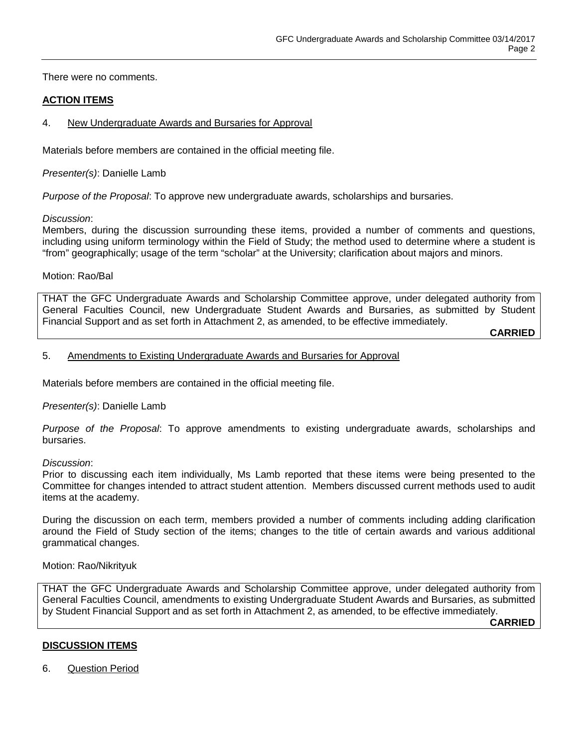There were no comments.

### **ACTION ITEMS**

### 4. New Undergraduate Awards and Bursaries for Approval

Materials before members are contained in the official meeting file.

*Presenter(s)*: Danielle Lamb

*Purpose of the Proposal*: To approve new undergraduate awards, scholarships and bursaries.

#### *Discussion*:

Members, during the discussion surrounding these items, provided a number of comments and questions, including using uniform terminology within the Field of Study; the method used to determine where a student is "from" geographically; usage of the term "scholar" at the University; clarification about majors and minors.

### Motion: Rao/Bal

THAT the GFC Undergraduate Awards and Scholarship Committee approve, under delegated authority from General Faculties Council, new Undergraduate Student Awards and Bursaries, as submitted by Student Financial Support and as set forth in Attachment 2, as amended, to be effective immediately.

**CARRIED**

#### 5. Amendments to Existing Undergraduate Awards and Bursaries for Approval

Materials before members are contained in the official meeting file.

#### *Presenter(s)*: Danielle Lamb

*Purpose of the Proposal*: To approve amendments to existing undergraduate awards, scholarships and bursaries.

#### *Discussion*:

Prior to discussing each item individually, Ms Lamb reported that these items were being presented to the Committee for changes intended to attract student attention. Members discussed current methods used to audit items at the academy.

During the discussion on each term, members provided a number of comments including adding clarification around the Field of Study section of the items; changes to the title of certain awards and various additional grammatical changes.

#### Motion: Rao/Nikrityuk

THAT the GFC Undergraduate Awards and Scholarship Committee approve, under delegated authority from General Faculties Council, amendments to existing Undergraduate Student Awards and Bursaries, as submitted by Student Financial Support and as set forth in Attachment 2, as amended, to be effective immediately.

**CARRIED**

### **DISCUSSION ITEMS**

6. Question Period